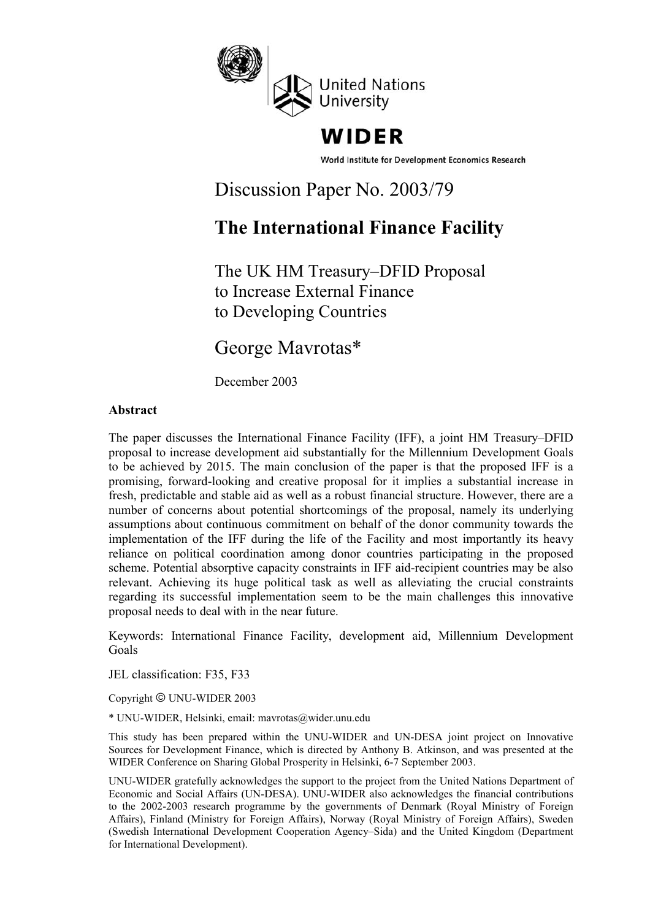

WIDER

World Institute for Development Economics Research

Discussion Paper No. 2003/79

# **The International Finance Facility**

The UK HM Treasury–DFID Proposal to Increase External Finance to Developing Countries

# George Mavrotas\*

December 2003

# **Abstract**

The paper discusses the International Finance Facility (IFF), a joint HM Treasury–DFID proposal to increase development aid substantially for the Millennium Development Goals to be achieved by 2015. The main conclusion of the paper is that the proposed IFF is a promising, forward-looking and creative proposal for it implies a substantial increase in fresh, predictable and stable aid as well as a robust financial structure. However, there are a number of concerns about potential shortcomings of the proposal, namely its underlying assumptions about continuous commitment on behalf of the donor community towards the implementation of the IFF during the life of the Facility and most importantly its heavy reliance on political coordination among donor countries participating in the proposed scheme. Potential absorptive capacity constraints in IFF aid-recipient countries may be also relevant. Achieving its huge political task as well as alleviating the crucial constraints regarding its successful implementation seem to be the main challenges this innovative proposal needs to deal with in the near future.

Keywords: International Finance Facility, development aid, Millennium Development Goals

JEL classification: F35, F33

Copyright  $\odot$  UNU-WIDER 2003

\* UNU-WIDER, Helsinki, email: mavrotas@wider.unu.edu

This study has been prepared within the UNU-WIDER and UN-DESA joint project on Innovative Sources for Development Finance, which is directed by Anthony B. Atkinson, and was presented at the WIDER Conference on Sharing Global Prosperity in Helsinki, 6-7 September 2003.

UNU-WIDER gratefully acknowledges the support to the project from the United Nations Department of Economic and Social Affairs (UN-DESA). UNU-WIDER also acknowledges the financial contributions to the 2002-2003 research programme by the governments of Denmark (Royal Ministry of Foreign Affairs), Finland (Ministry for Foreign Affairs), Norway (Royal Ministry of Foreign Affairs), Sweden (Swedish International Development Cooperation Agency–Sida) and the United Kingdom (Department for International Development).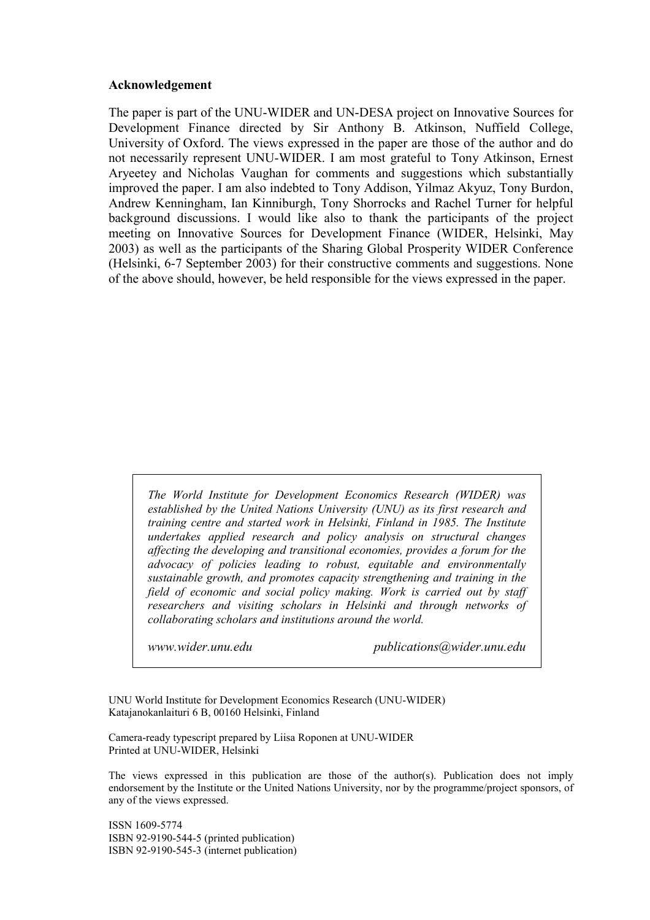#### **Acknowledgement**

The paper is part of the UNU-WIDER and UN-DESA project on Innovative Sources for Development Finance directed by Sir Anthony B. Atkinson, Nuffield College, University of Oxford. The views expressed in the paper are those of the author and do not necessarily represent UNU-WIDER. I am most grateful to Tony Atkinson, Ernest Aryeetey and Nicholas Vaughan for comments and suggestions which substantially improved the paper. I am also indebted to Tony Addison, Yilmaz Akyuz, Tony Burdon, Andrew Kenningham, Ian Kinniburgh, Tony Shorrocks and Rachel Turner for helpful background discussions. I would like also to thank the participants of the project meeting on Innovative Sources for Development Finance (WIDER, Helsinki, May 2003) as well as the participants of the Sharing Global Prosperity WIDER Conference (Helsinki, 6-7 September 2003) for their constructive comments and suggestions. None of the above should, however, be held responsible for the views expressed in the paper.

*The World Institute for Development Economics Research (WIDER) was established by the United Nations University (UNU) as its first research and training centre and started work in Helsinki, Finland in 1985. The Institute undertakes applied research and policy analysis on structural changes affecting the developing and transitional economies, provides a forum for the advocacy of policies leading to robust, equitable and environmentally sustainable growth, and promotes capacity strengthening and training in the field of economic and social policy making. Work is carried out by staff researchers and visiting scholars in Helsinki and through networks of collaborating scholars and institutions around the world.*

*www.wider.unu.edu publications@wider.unu.edu*

UNU World Institute for Development Economics Research (UNU-WIDER) Katajanokanlaituri 6 B, 00160 Helsinki, Finland

Camera-ready typescript prepared by Liisa Roponen at UNU-WIDER Printed at UNU-WIDER, Helsinki

The views expressed in this publication are those of the author(s). Publication does not imply endorsement by the Institute or the United Nations University, nor by the programme/project sponsors, of any of the views expressed.

ISSN 1609-5774 ISBN 92-9190-544-5 (printed publication) ISBN 92-9190-545-3 (internet publication)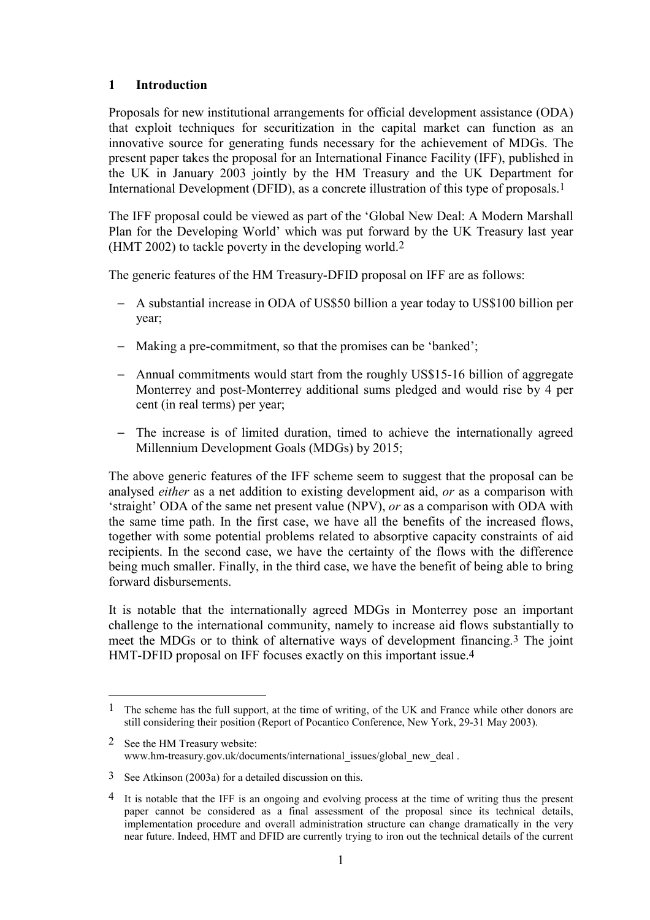# **1 Introduction**

Proposals for new institutional arrangements for official development assistance (ODA) that exploit techniques for securitization in the capital market can function as an innovative source for generating funds necessary for the achievement of MDGs. The present paper takes the proposal for an International Finance Facility (IFF), published in the UK in January 2003 jointly by the HM Treasury and the UK Department for International Development (DFID), as a concrete illustration of this type of proposals.1

The IFF proposal could be viewed as part of the 'Global New Deal: A Modern Marshall Plan for the Developing World' which was put forward by the UK Treasury last year (HMT 2002) to tackle poverty in the developing world.2

The generic features of the HM Treasury-DFID proposal on IFF are as follows:

- − A substantial increase in ODA of US\$50 billion a year today to US\$100 billion per year;
- − Making a pre-commitment, so that the promises can be 'banked';
- − Annual commitments would start from the roughly US\$15-16 billion of aggregate Monterrey and post-Monterrey additional sums pledged and would rise by 4 per cent (in real terms) per year;
- − The increase is of limited duration, timed to achieve the internationally agreed Millennium Development Goals (MDGs) by 2015;

The above generic features of the IFF scheme seem to suggest that the proposal can be analysed *either* as a net addition to existing development aid, *or* as a comparison with 'straight' ODA of the same net present value (NPV), *or* as a comparison with ODA with the same time path. In the first case, we have all the benefits of the increased flows, together with some potential problems related to absorptive capacity constraints of aid recipients. In the second case, we have the certainty of the flows with the difference being much smaller. Finally, in the third case, we have the benefit of being able to bring forward disbursements.

It is notable that the internationally agreed MDGs in Monterrey pose an important challenge to the international community, namely to increase aid flows substantially to meet the MDGs or to think of alternative ways of development financing.3 The joint HMT-DFID proposal on IFF focuses exactly on this important issue.4

2 See the HM Treasury website: www.hm-treasury.gov.uk/documents/international\_issues/global\_new\_deal .

 $1$  The scheme has the full support, at the time of writing, of the UK and France while other donors are still considering their position (Report of Pocantico Conference, New York, 29-31 May 2003).

<sup>3</sup> See Atkinson (2003a) for a detailed discussion on this.

<sup>4</sup> It is notable that the IFF is an ongoing and evolving process at the time of writing thus the present paper cannot be considered as a final assessment of the proposal since its technical details, implementation procedure and overall administration structure can change dramatically in the very near future. Indeed, HMT and DFID are currently trying to iron out the technical details of the current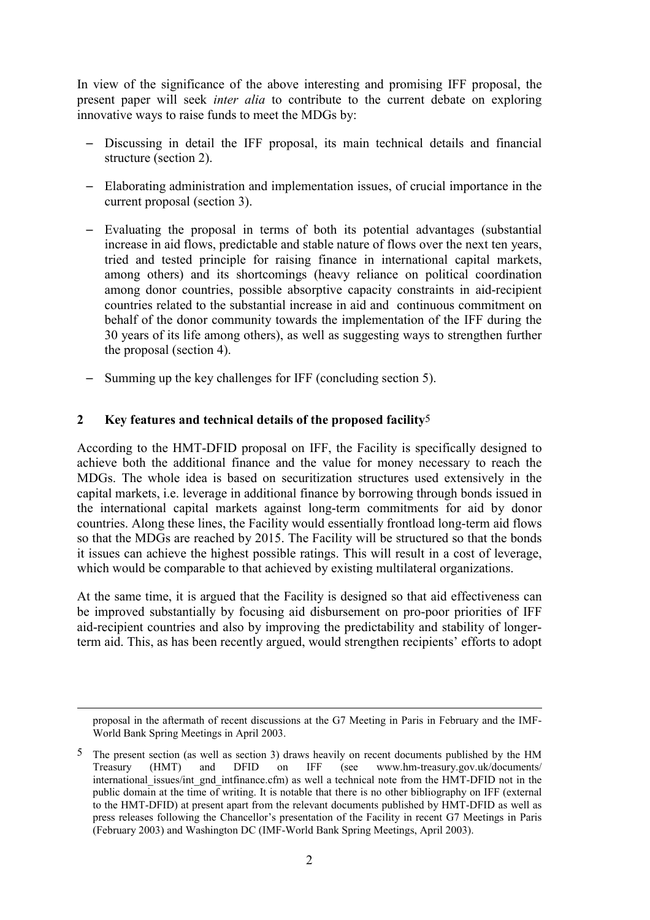In view of the significance of the above interesting and promising IFF proposal, the present paper will seek *inter alia* to contribute to the current debate on exploring innovative ways to raise funds to meet the MDGs by:

- Discussing in detail the IFF proposal, its main technical details and financial structure (section 2).
- − Elaborating administration and implementation issues, of crucial importance in the current proposal (section 3).
- − Evaluating the proposal in terms of both its potential advantages (substantial increase in aid flows, predictable and stable nature of flows over the next ten years, tried and tested principle for raising finance in international capital markets, among others) and its shortcomings (heavy reliance on political coordination among donor countries, possible absorptive capacity constraints in aid-recipient countries related to the substantial increase in aid and continuous commitment on behalf of the donor community towards the implementation of the IFF during the 30 years of its life among others), as well as suggesting ways to strengthen further the proposal (section 4).
- Summing up the key challenges for IFF (concluding section 5).

## **2 Key features and technical details of the proposed facility**5

According to the HMT-DFID proposal on IFF, the Facility is specifically designed to achieve both the additional finance and the value for money necessary to reach the MDGs. The whole idea is based on securitization structures used extensively in the capital markets, i.e. leverage in additional finance by borrowing through bonds issued in the international capital markets against long-term commitments for aid by donor countries. Along these lines, the Facility would essentially frontload long-term aid flows so that the MDGs are reached by 2015. The Facility will be structured so that the bonds it issues can achieve the highest possible ratings. This will result in a cost of leverage, which would be comparable to that achieved by existing multilateral organizations.

At the same time, it is argued that the Facility is designed so that aid effectiveness can be improved substantially by focusing aid disbursement on pro-poor priorities of IFF aid-recipient countries and also by improving the predictability and stability of longerterm aid. This, as has been recently argued, would strengthen recipients' efforts to adopt

 proposal in the aftermath of recent discussions at the G7 Meeting in Paris in February and the IMF-World Bank Spring Meetings in April 2003.

<sup>5</sup> The present section (as well as section 3) draws heavily on recent documents published by the HM<br>Treasury (HMT) and DFID on IFF (see www.hm-treasury.gov.uk/documents/ Treasury (HMT) and DFID on IFF (see www.hm-treasury.gov.uk/documents/ international issues/int gnd intfinance.cfm) as well a technical note from the HMT-DFID not in the public domain at the time of writing. It is notable that there is no other bibliography on IFF (external to the HMT-DFID) at present apart from the relevant documents published by HMT-DFID as well as press releases following the Chancellor's presentation of the Facility in recent G7 Meetings in Paris (February 2003) and Washington DC (IMF-World Bank Spring Meetings, April 2003).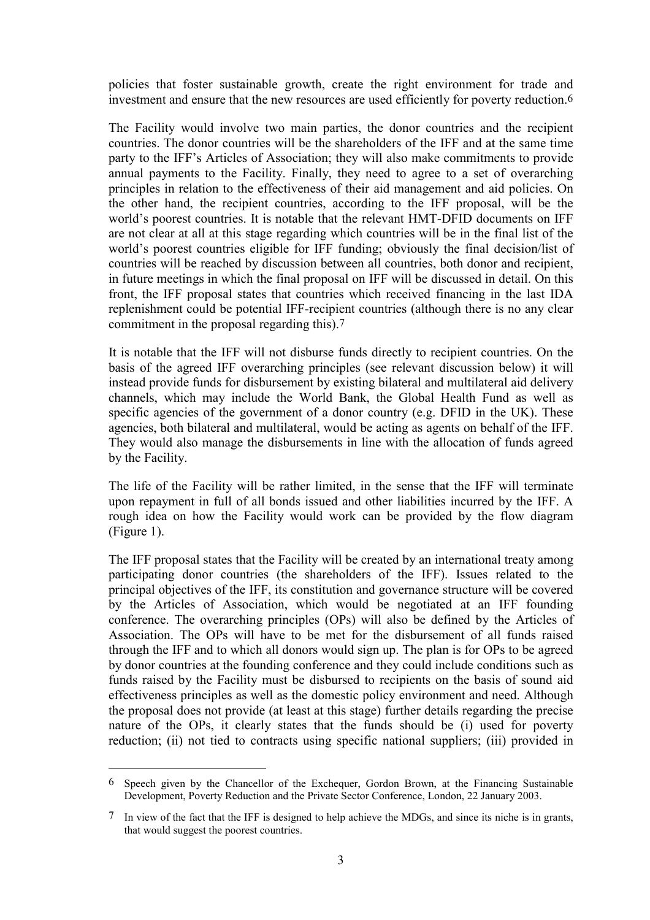policies that foster sustainable growth, create the right environment for trade and investment and ensure that the new resources are used efficiently for poverty reduction.6

The Facility would involve two main parties, the donor countries and the recipient countries. The donor countries will be the shareholders of the IFF and at the same time party to the IFF's Articles of Association; they will also make commitments to provide annual payments to the Facility. Finally, they need to agree to a set of overarching principles in relation to the effectiveness of their aid management and aid policies. On the other hand, the recipient countries, according to the IFF proposal, will be the world's poorest countries. It is notable that the relevant HMT-DFID documents on IFF are not clear at all at this stage regarding which countries will be in the final list of the world's poorest countries eligible for IFF funding; obviously the final decision/list of countries will be reached by discussion between all countries, both donor and recipient, in future meetings in which the final proposal on IFF will be discussed in detail. On this front, the IFF proposal states that countries which received financing in the last IDA replenishment could be potential IFF-recipient countries (although there is no any clear commitment in the proposal regarding this).7

It is notable that the IFF will not disburse funds directly to recipient countries. On the basis of the agreed IFF overarching principles (see relevant discussion below) it will instead provide funds for disbursement by existing bilateral and multilateral aid delivery channels, which may include the World Bank, the Global Health Fund as well as specific agencies of the government of a donor country (e.g. DFID in the UK). These agencies, both bilateral and multilateral, would be acting as agents on behalf of the IFF. They would also manage the disbursements in line with the allocation of funds agreed by the Facility.

The life of the Facility will be rather limited, in the sense that the IFF will terminate upon repayment in full of all bonds issued and other liabilities incurred by the IFF. A rough idea on how the Facility would work can be provided by the flow diagram (Figure 1).

The IFF proposal states that the Facility will be created by an international treaty among participating donor countries (the shareholders of the IFF). Issues related to the principal objectives of the IFF, its constitution and governance structure will be covered by the Articles of Association, which would be negotiated at an IFF founding conference. The overarching principles (OPs) will also be defined by the Articles of Association. The OPs will have to be met for the disbursement of all funds raised through the IFF and to which all donors would sign up. The plan is for OPs to be agreed by donor countries at the founding conference and they could include conditions such as funds raised by the Facility must be disbursed to recipients on the basis of sound aid effectiveness principles as well as the domestic policy environment and need. Although the proposal does not provide (at least at this stage) further details regarding the precise nature of the OPs, it clearly states that the funds should be (i) used for poverty reduction; (ii) not tied to contracts using specific national suppliers; (iii) provided in

<sup>6</sup> Speech given by the Chancellor of the Exchequer, Gordon Brown, at the Financing Sustainable Development, Poverty Reduction and the Private Sector Conference, London, 22 January 2003.

<sup>7</sup> In view of the fact that the IFF is designed to help achieve the MDGs, and since its niche is in grants, that would suggest the poorest countries.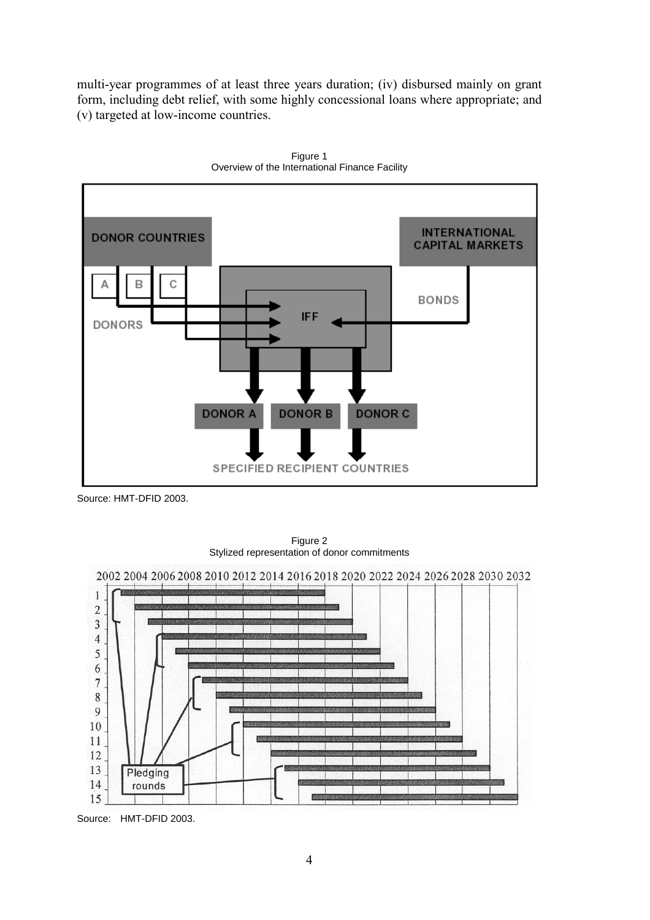multi-year programmes of at least three years duration; (iv) disbursed mainly on grant form, including debt relief, with some highly concessional loans where appropriate; and (v) targeted at low-income countries.



Figure 1 Overview of the International Finance Facility

Source: HMT-DFID 2003.



Figure 2 Stylized representation of donor commitments

Source: HMT-DFID 2003.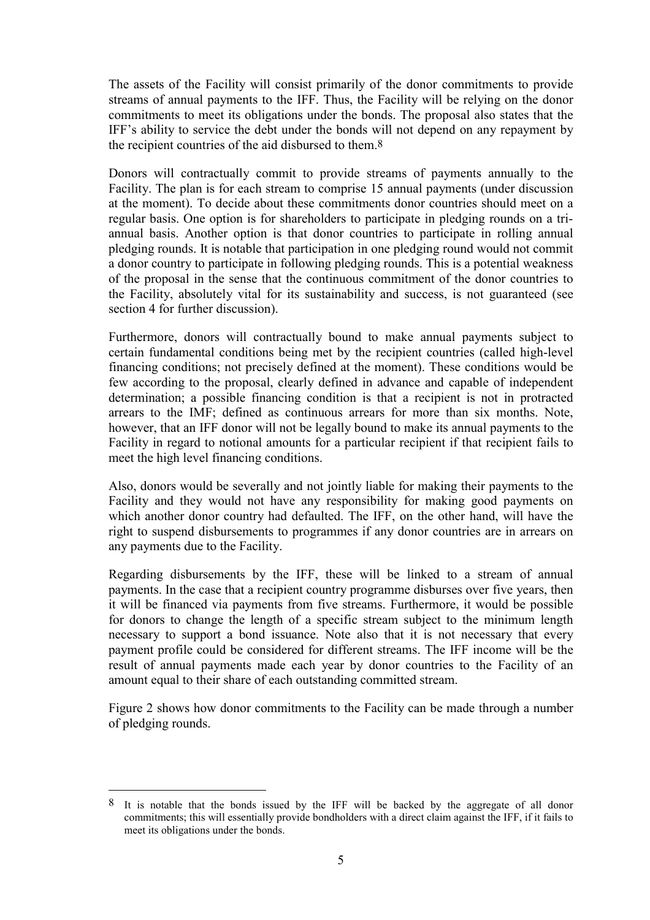The assets of the Facility will consist primarily of the donor commitments to provide streams of annual payments to the IFF. Thus, the Facility will be relying on the donor commitments to meet its obligations under the bonds. The proposal also states that the IFF's ability to service the debt under the bonds will not depend on any repayment by the recipient countries of the aid disbursed to them.8

Donors will contractually commit to provide streams of payments annually to the Facility. The plan is for each stream to comprise 15 annual payments (under discussion at the moment). To decide about these commitments donor countries should meet on a regular basis. One option is for shareholders to participate in pledging rounds on a triannual basis. Another option is that donor countries to participate in rolling annual pledging rounds. It is notable that participation in one pledging round would not commit a donor country to participate in following pledging rounds. This is a potential weakness of the proposal in the sense that the continuous commitment of the donor countries to the Facility, absolutely vital for its sustainability and success, is not guaranteed (see section 4 for further discussion).

Furthermore, donors will contractually bound to make annual payments subject to certain fundamental conditions being met by the recipient countries (called high-level financing conditions; not precisely defined at the moment). These conditions would be few according to the proposal, clearly defined in advance and capable of independent determination; a possible financing condition is that a recipient is not in protracted arrears to the IMF; defined as continuous arrears for more than six months. Note, however, that an IFF donor will not be legally bound to make its annual payments to the Facility in regard to notional amounts for a particular recipient if that recipient fails to meet the high level financing conditions.

Also, donors would be severally and not jointly liable for making their payments to the Facility and they would not have any responsibility for making good payments on which another donor country had defaulted. The IFF, on the other hand, will have the right to suspend disbursements to programmes if any donor countries are in arrears on any payments due to the Facility.

Regarding disbursements by the IFF, these will be linked to a stream of annual payments. In the case that a recipient country programme disburses over five years, then it will be financed via payments from five streams. Furthermore, it would be possible for donors to change the length of a specific stream subject to the minimum length necessary to support a bond issuance. Note also that it is not necessary that every payment profile could be considered for different streams. The IFF income will be the result of annual payments made each year by donor countries to the Facility of an amount equal to their share of each outstanding committed stream.

Figure 2 shows how donor commitments to the Facility can be made through a number of pledging rounds.

It is notable that the bonds issued by the IFF will be backed by the aggregate of all donor commitments; this will essentially provide bondholders with a direct claim against the IFF, if it fails to meet its obligations under the bonds.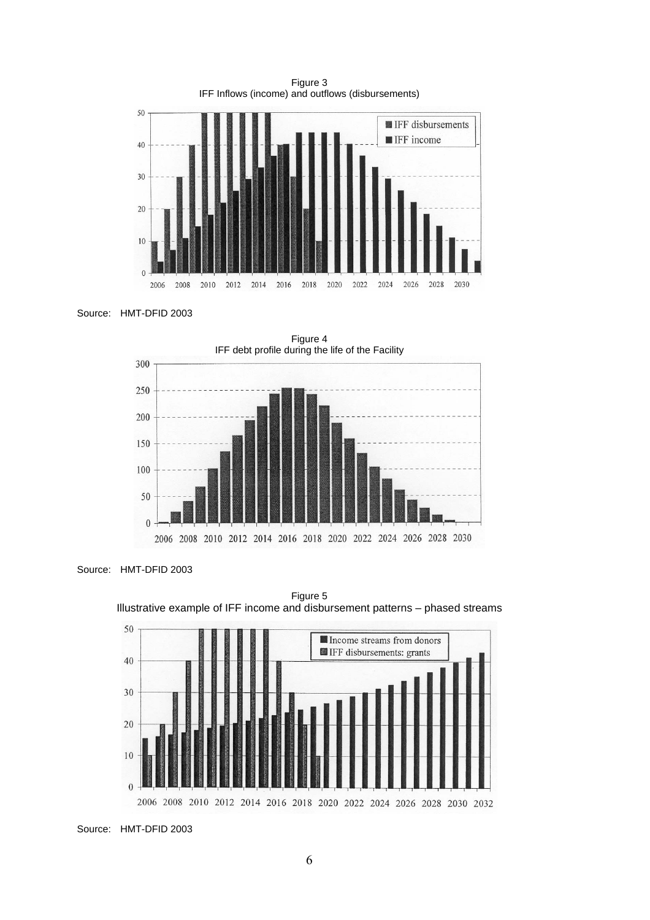

Figure 3





Source: HMT-DFID 2003



Figure 5 Illustrative example of IFF income and disbursement patterns – phased streams

Source: HMT-DFID 2003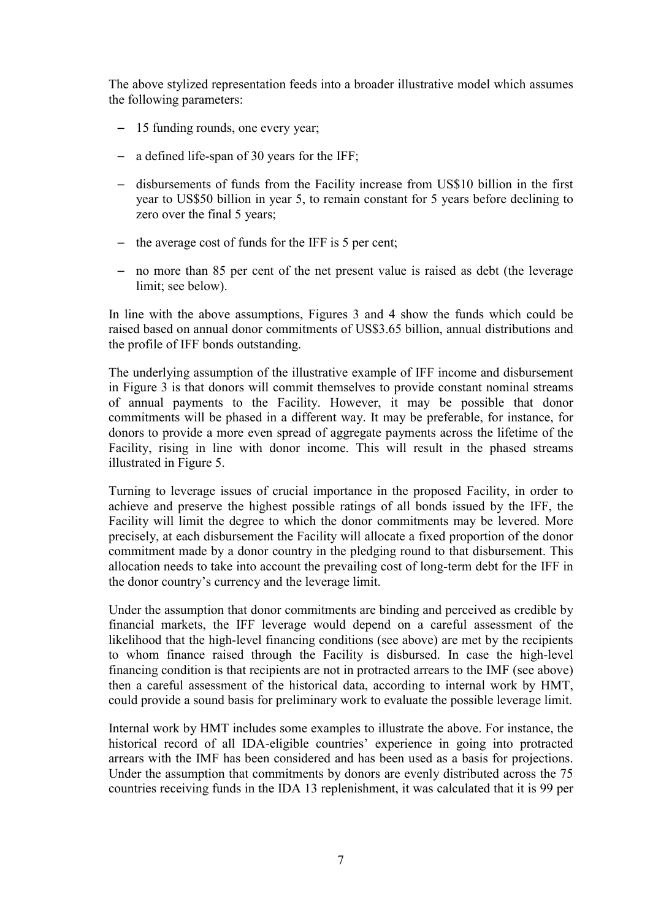The above stylized representation feeds into a broader illustrative model which assumes the following parameters:

- − 15 funding rounds, one every year;
- − a defined life-span of 30 years for the IFF;
- − disbursements of funds from the Facility increase from US\$10 billion in the first year to US\$50 billion in year 5, to remain constant for 5 years before declining to zero over the final 5 years;
- − the average cost of funds for the IFF is 5 per cent;
- − no more than 85 per cent of the net present value is raised as debt (the leverage limit; see below).

In line with the above assumptions, Figures 3 and 4 show the funds which could be raised based on annual donor commitments of US\$3.65 billion, annual distributions and the profile of IFF bonds outstanding.

The underlying assumption of the illustrative example of IFF income and disbursement in Figure 3 is that donors will commit themselves to provide constant nominal streams of annual payments to the Facility. However, it may be possible that donor commitments will be phased in a different way. It may be preferable, for instance, for donors to provide a more even spread of aggregate payments across the lifetime of the Facility, rising in line with donor income. This will result in the phased streams illustrated in Figure 5.

Turning to leverage issues of crucial importance in the proposed Facility, in order to achieve and preserve the highest possible ratings of all bonds issued by the IFF, the Facility will limit the degree to which the donor commitments may be levered. More precisely, at each disbursement the Facility will allocate a fixed proportion of the donor commitment made by a donor country in the pledging round to that disbursement. This allocation needs to take into account the prevailing cost of long-term debt for the IFF in the donor country's currency and the leverage limit.

Under the assumption that donor commitments are binding and perceived as credible by financial markets, the IFF leverage would depend on a careful assessment of the likelihood that the high-level financing conditions (see above) are met by the recipients to whom finance raised through the Facility is disbursed. In case the high-level financing condition is that recipients are not in protracted arrears to the IMF (see above) then a careful assessment of the historical data, according to internal work by HMT, could provide a sound basis for preliminary work to evaluate the possible leverage limit.

Internal work by HMT includes some examples to illustrate the above. For instance, the historical record of all IDA-eligible countries' experience in going into protracted arrears with the IMF has been considered and has been used as a basis for projections. Under the assumption that commitments by donors are evenly distributed across the 75 countries receiving funds in the IDA 13 replenishment, it was calculated that it is 99 per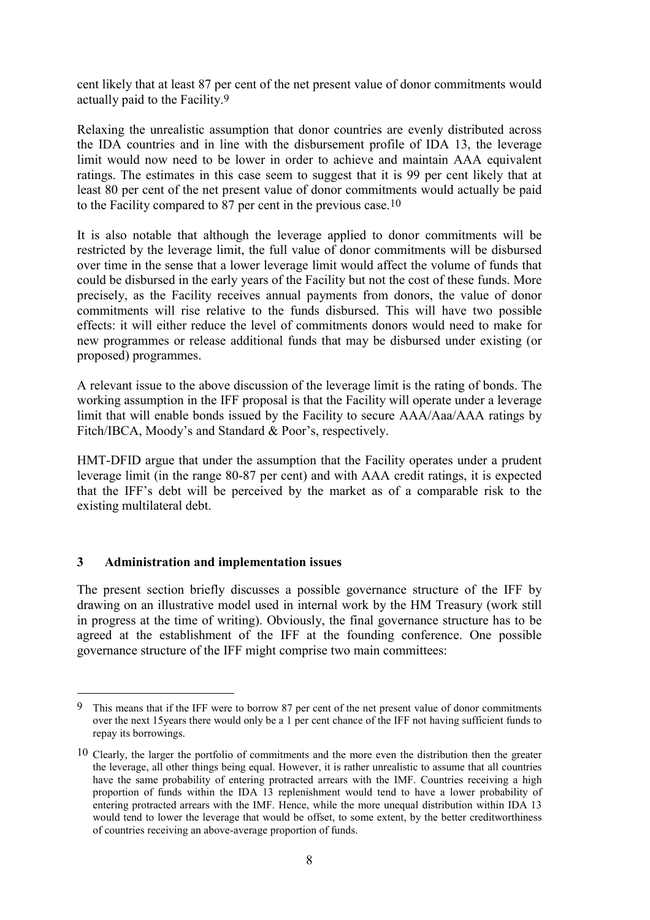cent likely that at least 87 per cent of the net present value of donor commitments would actually paid to the Facility.9

Relaxing the unrealistic assumption that donor countries are evenly distributed across the IDA countries and in line with the disbursement profile of IDA 13, the leverage limit would now need to be lower in order to achieve and maintain AAA equivalent ratings. The estimates in this case seem to suggest that it is 99 per cent likely that at least 80 per cent of the net present value of donor commitments would actually be paid to the Facility compared to 87 per cent in the previous case.10

It is also notable that although the leverage applied to donor commitments will be restricted by the leverage limit, the full value of donor commitments will be disbursed over time in the sense that a lower leverage limit would affect the volume of funds that could be disbursed in the early years of the Facility but not the cost of these funds. More precisely, as the Facility receives annual payments from donors, the value of donor commitments will rise relative to the funds disbursed. This will have two possible effects: it will either reduce the level of commitments donors would need to make for new programmes or release additional funds that may be disbursed under existing (or proposed) programmes.

A relevant issue to the above discussion of the leverage limit is the rating of bonds. The working assumption in the IFF proposal is that the Facility will operate under a leverage limit that will enable bonds issued by the Facility to secure AAA/Aaa/AAA ratings by Fitch/IBCA, Moody's and Standard & Poor's, respectively.

HMT-DFID argue that under the assumption that the Facility operates under a prudent leverage limit (in the range 80-87 per cent) and with AAA credit ratings, it is expected that the IFF's debt will be perceived by the market as of a comparable risk to the existing multilateral debt.

## **3 Administration and implementation issues**

 $\overline{a}$ 

The present section briefly discusses a possible governance structure of the IFF by drawing on an illustrative model used in internal work by the HM Treasury (work still in progress at the time of writing). Obviously, the final governance structure has to be agreed at the establishment of the IFF at the founding conference. One possible governance structure of the IFF might comprise two main committees:

<sup>9</sup> This means that if the IFF were to borrow 87 per cent of the net present value of donor commitments over the next 15years there would only be a 1 per cent chance of the IFF not having sufficient funds to repay its borrowings.

<sup>10</sup> Clearly, the larger the portfolio of commitments and the more even the distribution then the greater the leverage, all other things being equal. However, it is rather unrealistic to assume that all countries have the same probability of entering protracted arrears with the IMF. Countries receiving a high proportion of funds within the IDA 13 replenishment would tend to have a lower probability of entering protracted arrears with the IMF. Hence, while the more unequal distribution within IDA 13 would tend to lower the leverage that would be offset, to some extent, by the better creditworthiness of countries receiving an above-average proportion of funds.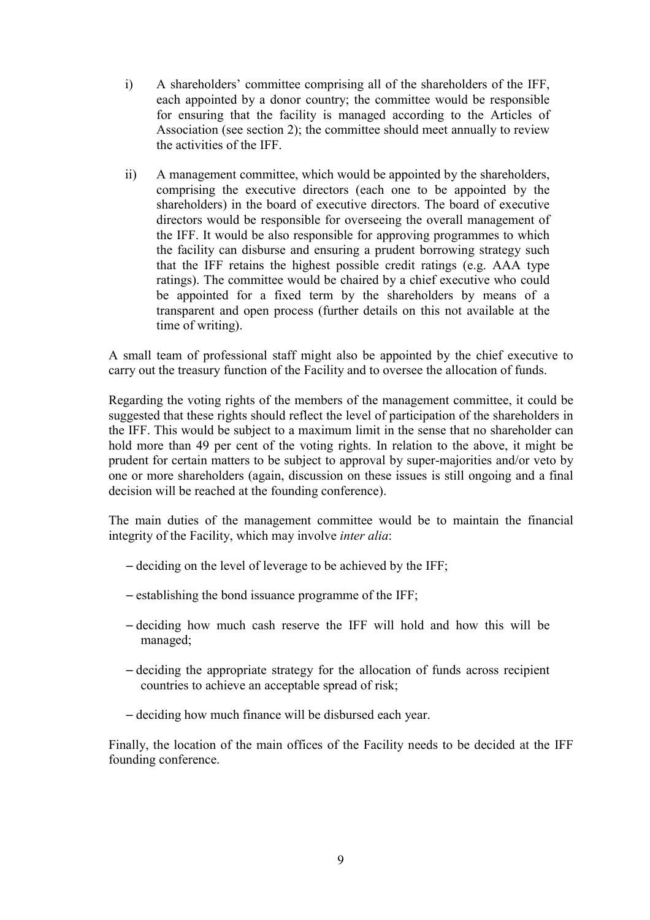- i) A shareholders' committee comprising all of the shareholders of the IFF, each appointed by a donor country; the committee would be responsible for ensuring that the facility is managed according to the Articles of Association (see section 2); the committee should meet annually to review the activities of the IFF.
- ii) A management committee, which would be appointed by the shareholders, comprising the executive directors (each one to be appointed by the shareholders) in the board of executive directors. The board of executive directors would be responsible for overseeing the overall management of the IFF. It would be also responsible for approving programmes to which the facility can disburse and ensuring a prudent borrowing strategy such that the IFF retains the highest possible credit ratings (e.g. AAA type ratings). The committee would be chaired by a chief executive who could be appointed for a fixed term by the shareholders by means of a transparent and open process (further details on this not available at the time of writing).

A small team of professional staff might also be appointed by the chief executive to carry out the treasury function of the Facility and to oversee the allocation of funds.

Regarding the voting rights of the members of the management committee, it could be suggested that these rights should reflect the level of participation of the shareholders in the IFF. This would be subject to a maximum limit in the sense that no shareholder can hold more than 49 per cent of the voting rights. In relation to the above, it might be prudent for certain matters to be subject to approval by super-majorities and/or veto by one or more shareholders (again, discussion on these issues is still ongoing and a final decision will be reached at the founding conference).

The main duties of the management committee would be to maintain the financial integrity of the Facility, which may involve *inter alia*:

- − deciding on the level of leverage to be achieved by the IFF;
- − establishing the bond issuance programme of the IFF;
- − deciding how much cash reserve the IFF will hold and how this will be managed;
- − deciding the appropriate strategy for the allocation of funds across recipient countries to achieve an acceptable spread of risk;
- − deciding how much finance will be disbursed each year.

Finally, the location of the main offices of the Facility needs to be decided at the IFF founding conference.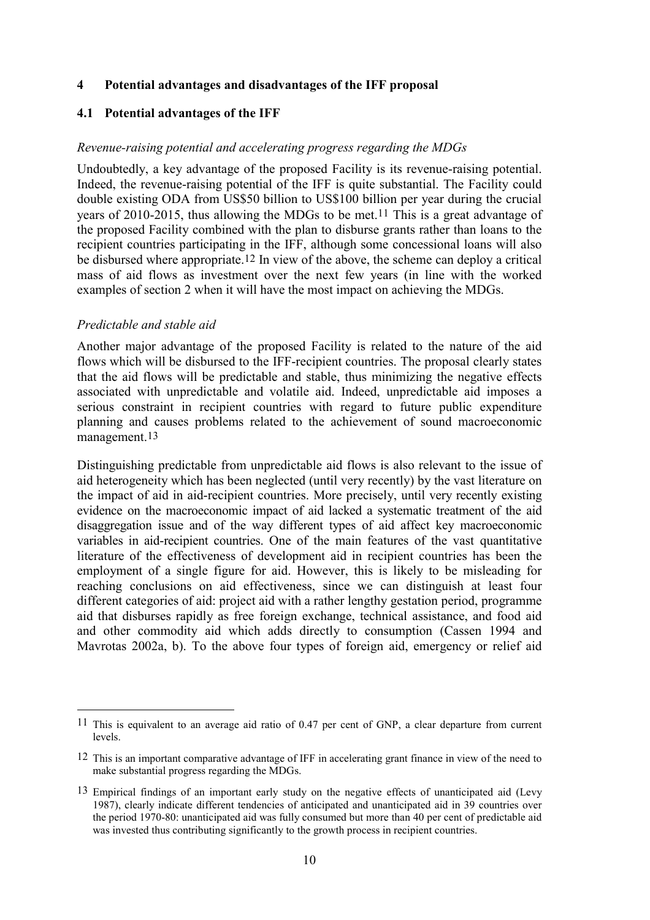## **4 Potential advantages and disadvantages of the IFF proposal**

## **4.1 Potential advantages of the IFF**

#### *Revenue-raising potential and accelerating progress regarding the MDGs*

Undoubtedly, a key advantage of the proposed Facility is its revenue-raising potential. Indeed, the revenue-raising potential of the IFF is quite substantial. The Facility could double existing ODA from US\$50 billion to US\$100 billion per year during the crucial years of 2010-2015, thus allowing the MDGs to be met.11 This is a great advantage of the proposed Facility combined with the plan to disburse grants rather than loans to the recipient countries participating in the IFF, although some concessional loans will also be disbursed where appropriate.12 In view of the above, the scheme can deploy a critical mass of aid flows as investment over the next few years (in line with the worked examples of section 2 when it will have the most impact on achieving the MDGs.

## *Predictable and stable aid*

 $\overline{a}$ 

Another major advantage of the proposed Facility is related to the nature of the aid flows which will be disbursed to the IFF-recipient countries. The proposal clearly states that the aid flows will be predictable and stable, thus minimizing the negative effects associated with unpredictable and volatile aid. Indeed, unpredictable aid imposes a serious constraint in recipient countries with regard to future public expenditure planning and causes problems related to the achievement of sound macroeconomic management.13

Distinguishing predictable from unpredictable aid flows is also relevant to the issue of aid heterogeneity which has been neglected (until very recently) by the vast literature on the impact of aid in aid-recipient countries. More precisely, until very recently existing evidence on the macroeconomic impact of aid lacked a systematic treatment of the aid disaggregation issue and of the way different types of aid affect key macroeconomic variables in aid-recipient countries. One of the main features of the vast quantitative literature of the effectiveness of development aid in recipient countries has been the employment of a single figure for aid. However, this is likely to be misleading for reaching conclusions on aid effectiveness, since we can distinguish at least four different categories of aid: project aid with a rather lengthy gestation period, programme aid that disburses rapidly as free foreign exchange, technical assistance, and food aid and other commodity aid which adds directly to consumption (Cassen 1994 and Mavrotas 2002a, b). To the above four types of foreign aid, emergency or relief aid

<sup>11</sup> This is equivalent to an average aid ratio of 0.47 per cent of GNP, a clear departure from current levels.

<sup>12</sup> This is an important comparative advantage of IFF in accelerating grant finance in view of the need to make substantial progress regarding the MDGs.

<sup>13</sup> Empirical findings of an important early study on the negative effects of unanticipated aid (Levy 1987), clearly indicate different tendencies of anticipated and unanticipated aid in 39 countries over the period 1970-80: unanticipated aid was fully consumed but more than 40 per cent of predictable aid was invested thus contributing significantly to the growth process in recipient countries.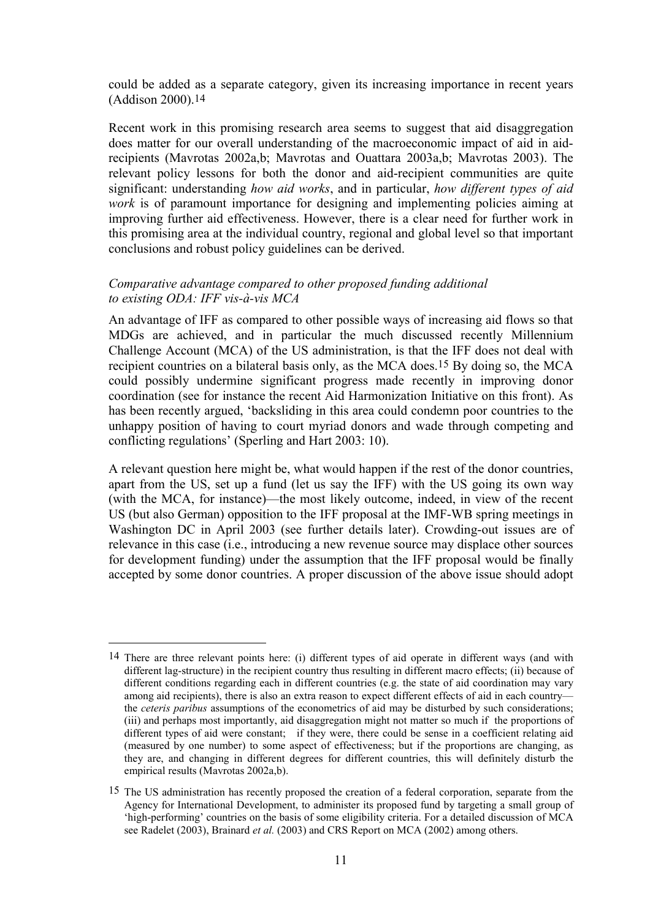could be added as a separate category, given its increasing importance in recent years (Addison 2000).14

Recent work in this promising research area seems to suggest that aid disaggregation does matter for our overall understanding of the macroeconomic impact of aid in aidrecipients (Mavrotas 2002a,b; Mavrotas and Ouattara 2003a,b; Mavrotas 2003). The relevant policy lessons for both the donor and aid-recipient communities are quite significant: understanding *how aid works*, and in particular, *how different types of aid work* is of paramount importance for designing and implementing policies aiming at improving further aid effectiveness. However, there is a clear need for further work in this promising area at the individual country, regional and global level so that important conclusions and robust policy guidelines can be derived.

## *Comparative advantage compared to other proposed funding additional to existing ODA: IFF vis-à-vis MCA*

An advantage of IFF as compared to other possible ways of increasing aid flows so that MDGs are achieved, and in particular the much discussed recently Millennium Challenge Account (MCA) of the US administration, is that the IFF does not deal with recipient countries on a bilateral basis only, as the MCA does.15 By doing so, the MCA could possibly undermine significant progress made recently in improving donor coordination (see for instance the recent Aid Harmonization Initiative on this front). As has been recently argued, 'backsliding in this area could condemn poor countries to the unhappy position of having to court myriad donors and wade through competing and conflicting regulations' (Sperling and Hart 2003: 10).

A relevant question here might be, what would happen if the rest of the donor countries, apart from the US, set up a fund (let us say the IFF) with the US going its own way (with the MCA, for instance)—the most likely outcome, indeed, in view of the recent US (but also German) opposition to the IFF proposal at the IMF-WB spring meetings in Washington DC in April 2003 (see further details later). Crowding-out issues are of relevance in this case (i.e., introducing a new revenue source may displace other sources for development funding) under the assumption that the IFF proposal would be finally accepted by some donor countries. A proper discussion of the above issue should adopt

<sup>14</sup> There are three relevant points here: (i) different types of aid operate in different ways (and with different lag-structure) in the recipient country thus resulting in different macro effects; (ii) because of different conditions regarding each in different countries (e.g. the state of aid coordination may vary among aid recipients), there is also an extra reason to expect different effects of aid in each country the *ceteris paribus* assumptions of the econometrics of aid may be disturbed by such considerations; (iii) and perhaps most importantly, aid disaggregation might not matter so much if the proportions of different types of aid were constant; if they were, there could be sense in a coefficient relating aid (measured by one number) to some aspect of effectiveness; but if the proportions are changing, as they are, and changing in different degrees for different countries, this will definitely disturb the empirical results (Mavrotas 2002a,b).

<sup>15</sup> The US administration has recently proposed the creation of a federal corporation, separate from the Agency for International Development, to administer its proposed fund by targeting a small group of 'high-performing' countries on the basis of some eligibility criteria. For a detailed discussion of MCA see Radelet (2003), Brainard *et al.* (2003) and CRS Report on MCA (2002) among others.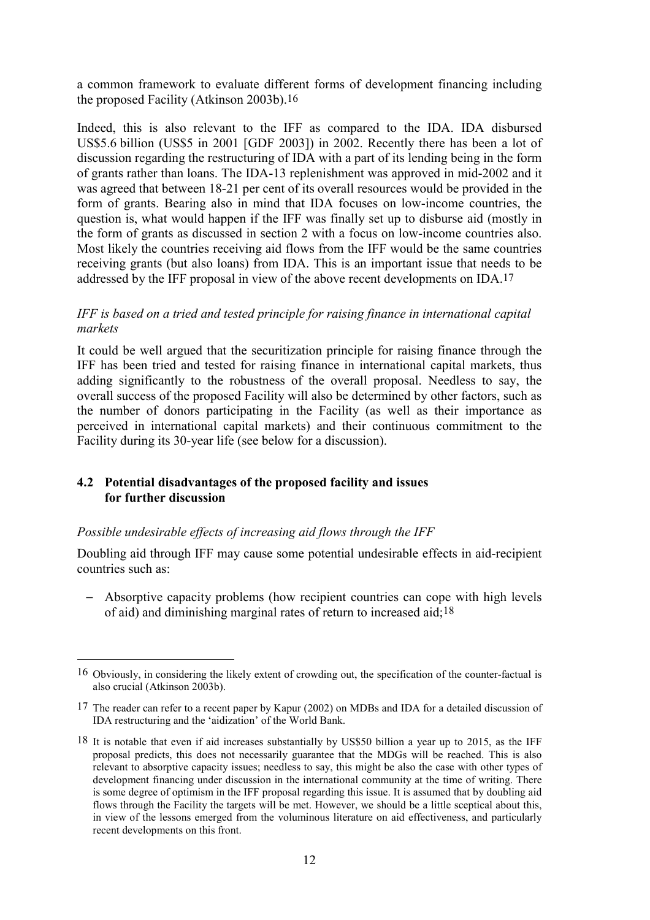a common framework to evaluate different forms of development financing including the proposed Facility (Atkinson 2003b).16

Indeed, this is also relevant to the IFF as compared to the IDA. IDA disbursed US\$5.6 billion (US\$5 in 2001 [GDF 2003]) in 2002. Recently there has been a lot of discussion regarding the restructuring of IDA with a part of its lending being in the form of grants rather than loans. The IDA-13 replenishment was approved in mid-2002 and it was agreed that between 18-21 per cent of its overall resources would be provided in the form of grants. Bearing also in mind that IDA focuses on low-income countries, the question is, what would happen if the IFF was finally set up to disburse aid (mostly in the form of grants as discussed in section 2 with a focus on low-income countries also. Most likely the countries receiving aid flows from the IFF would be the same countries receiving grants (but also loans) from IDA. This is an important issue that needs to be addressed by the IFF proposal in view of the above recent developments on IDA.17

## *IFF is based on a tried and tested principle for raising finance in international capital markets*

It could be well argued that the securitization principle for raising finance through the IFF has been tried and tested for raising finance in international capital markets, thus adding significantly to the robustness of the overall proposal. Needless to say, the overall success of the proposed Facility will also be determined by other factors, such as the number of donors participating in the Facility (as well as their importance as perceived in international capital markets) and their continuous commitment to the Facility during its 30-year life (see below for a discussion).

# **4.2 Potential disadvantages of the proposed facility and issues for further discussion**

## *Possible undesirable effects of increasing aid flows through the IFF*

Doubling aid through IFF may cause some potential undesirable effects in aid-recipient countries such as:

Absorptive capacity problems (how recipient countries can cope with high levels of aid) and diminishing marginal rates of return to increased aid;18

<sup>16</sup> Obviously, in considering the likely extent of crowding out, the specification of the counter-factual is also crucial (Atkinson 2003b).

<sup>17</sup> The reader can refer to a recent paper by Kapur (2002) on MDBs and IDA for a detailed discussion of IDA restructuring and the 'aidization' of the World Bank.

<sup>18</sup> It is notable that even if aid increases substantially by US\$50 billion a year up to 2015, as the IFF proposal predicts, this does not necessarily guarantee that the MDGs will be reached. This is also relevant to absorptive capacity issues; needless to say, this might be also the case with other types of development financing under discussion in the international community at the time of writing. There is some degree of optimism in the IFF proposal regarding this issue. It is assumed that by doubling aid flows through the Facility the targets will be met. However, we should be a little sceptical about this, in view of the lessons emerged from the voluminous literature on aid effectiveness, and particularly recent developments on this front.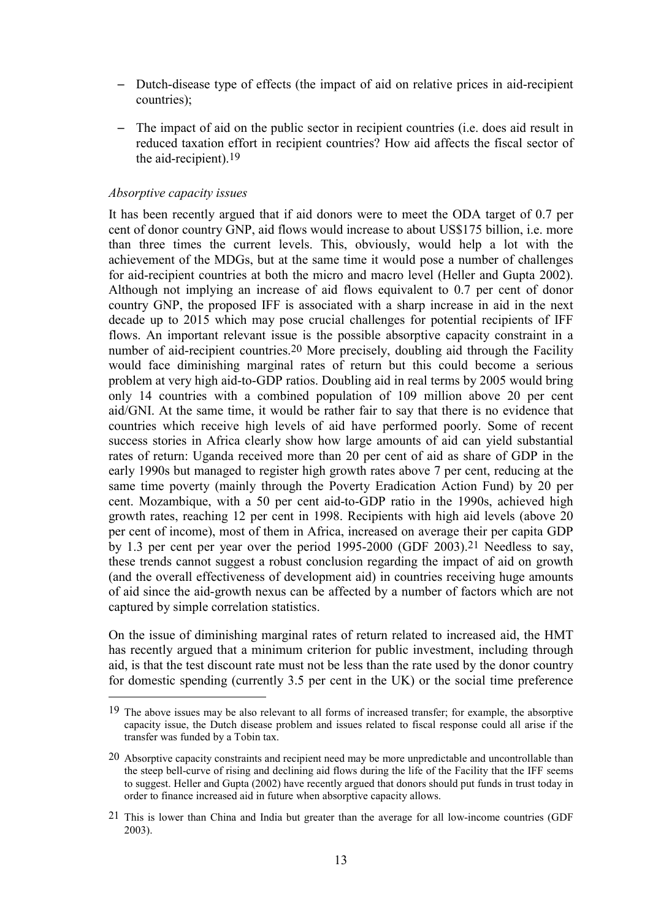- Dutch-disease type of effects (the impact of aid on relative prices in aid-recipient countries);
- − The impact of aid on the public sector in recipient countries (i.e. does aid result in reduced taxation effort in recipient countries? How aid affects the fiscal sector of the aid-recipient).19

#### *Absorptive capacity issues*

 $\overline{a}$ 

It has been recently argued that if aid donors were to meet the ODA target of 0.7 per cent of donor country GNP, aid flows would increase to about US\$175 billion, i.e. more than three times the current levels. This, obviously, would help a lot with the achievement of the MDGs, but at the same time it would pose a number of challenges for aid-recipient countries at both the micro and macro level (Heller and Gupta 2002). Although not implying an increase of aid flows equivalent to 0.7 per cent of donor country GNP, the proposed IFF is associated with a sharp increase in aid in the next decade up to 2015 which may pose crucial challenges for potential recipients of IFF flows. An important relevant issue is the possible absorptive capacity constraint in a number of aid-recipient countries.20 More precisely, doubling aid through the Facility would face diminishing marginal rates of return but this could become a serious problem at very high aid-to-GDP ratios. Doubling aid in real terms by 2005 would bring only 14 countries with a combined population of 109 million above 20 per cent aid/GNI. At the same time, it would be rather fair to say that there is no evidence that countries which receive high levels of aid have performed poorly. Some of recent success stories in Africa clearly show how large amounts of aid can yield substantial rates of return: Uganda received more than 20 per cent of aid as share of GDP in the early 1990s but managed to register high growth rates above 7 per cent, reducing at the same time poverty (mainly through the Poverty Eradication Action Fund) by 20 per cent. Mozambique, with a 50 per cent aid-to-GDP ratio in the 1990s, achieved high growth rates, reaching 12 per cent in 1998. Recipients with high aid levels (above 20 per cent of income), most of them in Africa, increased on average their per capita GDP by 1.3 per cent per year over the period 1995-2000 (GDF 2003).21 Needless to say, these trends cannot suggest a robust conclusion regarding the impact of aid on growth (and the overall effectiveness of development aid) in countries receiving huge amounts of aid since the aid-growth nexus can be affected by a number of factors which are not captured by simple correlation statistics.

On the issue of diminishing marginal rates of return related to increased aid, the HMT has recently argued that a minimum criterion for public investment, including through aid, is that the test discount rate must not be less than the rate used by the donor country for domestic spending (currently 3.5 per cent in the UK) or the social time preference

<sup>19</sup> The above issues may be also relevant to all forms of increased transfer; for example, the absorptive capacity issue, the Dutch disease problem and issues related to fiscal response could all arise if the transfer was funded by a Tobin tax.

<sup>20</sup> Absorptive capacity constraints and recipient need may be more unpredictable and uncontrollable than the steep bell-curve of rising and declining aid flows during the life of the Facility that the IFF seems to suggest. Heller and Gupta (2002) have recently argued that donors should put funds in trust today in order to finance increased aid in future when absorptive capacity allows.

<sup>21</sup> This is lower than China and India but greater than the average for all low-income countries (GDF 2003).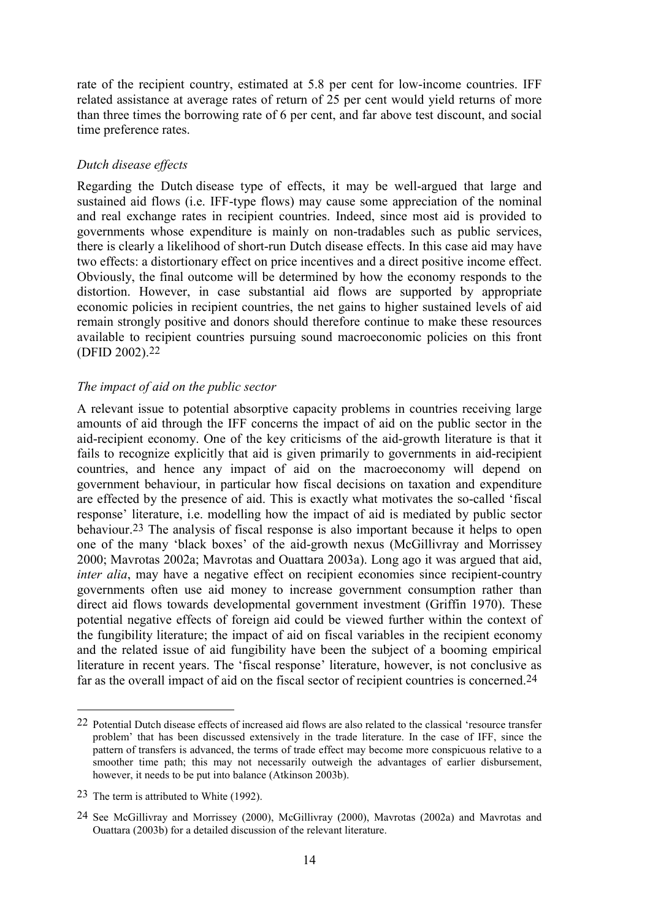rate of the recipient country, estimated at 5.8 per cent for low-income countries. IFF related assistance at average rates of return of 25 per cent would yield returns of more than three times the borrowing rate of 6 per cent, and far above test discount, and social time preference rates.

## *Dutch disease effects*

Regarding the Dutch disease type of effects, it may be well-argued that large and sustained aid flows (i.e. IFF-type flows) may cause some appreciation of the nominal and real exchange rates in recipient countries. Indeed, since most aid is provided to governments whose expenditure is mainly on non-tradables such as public services, there is clearly a likelihood of short-run Dutch disease effects. In this case aid may have two effects: a distortionary effect on price incentives and a direct positive income effect. Obviously, the final outcome will be determined by how the economy responds to the distortion. However, in case substantial aid flows are supported by appropriate economic policies in recipient countries, the net gains to higher sustained levels of aid remain strongly positive and donors should therefore continue to make these resources available to recipient countries pursuing sound macroeconomic policies on this front (DFID 2002).22

## *The impact of aid on the public sector*

A relevant issue to potential absorptive capacity problems in countries receiving large amounts of aid through the IFF concerns the impact of aid on the public sector in the aid-recipient economy. One of the key criticisms of the aid-growth literature is that it fails to recognize explicitly that aid is given primarily to governments in aid-recipient countries, and hence any impact of aid on the macroeconomy will depend on government behaviour, in particular how fiscal decisions on taxation and expenditure are effected by the presence of aid. This is exactly what motivates the so-called 'fiscal response' literature, i.e. modelling how the impact of aid is mediated by public sector behaviour.23 The analysis of fiscal response is also important because it helps to open one of the many 'black boxes' of the aid-growth nexus (McGillivray and Morrissey 2000; Mavrotas 2002a; Mavrotas and Ouattara 2003a). Long ago it was argued that aid, *inter alia*, may have a negative effect on recipient economies since recipient-country governments often use aid money to increase government consumption rather than direct aid flows towards developmental government investment (Griffin 1970). These potential negative effects of foreign aid could be viewed further within the context of the fungibility literature; the impact of aid on fiscal variables in the recipient economy and the related issue of aid fungibility have been the subject of a booming empirical literature in recent years. The 'fiscal response' literature, however, is not conclusive as far as the overall impact of aid on the fiscal sector of recipient countries is concerned.24

<sup>22</sup> Potential Dutch disease effects of increased aid flows are also related to the classical 'resource transfer problem' that has been discussed extensively in the trade literature. In the case of IFF, since the pattern of transfers is advanced, the terms of trade effect may become more conspicuous relative to a smoother time path; this may not necessarily outweigh the advantages of earlier disbursement, however, it needs to be put into balance (Atkinson 2003b).

<sup>23</sup> The term is attributed to White (1992).

<sup>24</sup> See McGillivray and Morrissey (2000), McGillivray (2000), Mavrotas (2002a) and Mavrotas and Ouattara (2003b) for a detailed discussion of the relevant literature.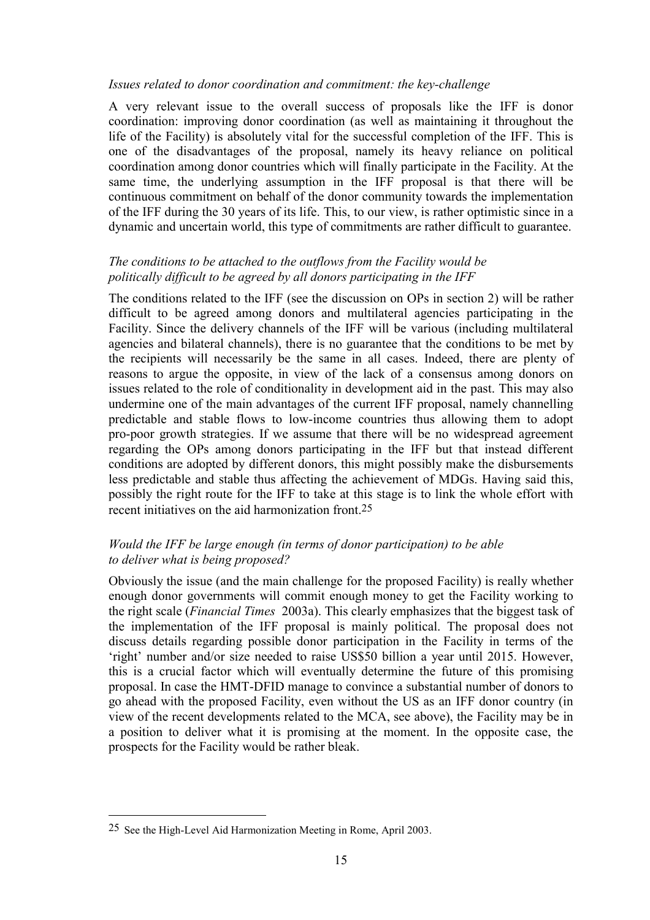#### *Issues related to donor coordination and commitment: the key-challenge*

A very relevant issue to the overall success of proposals like the IFF is donor coordination: improving donor coordination (as well as maintaining it throughout the life of the Facility) is absolutely vital for the successful completion of the IFF. This is one of the disadvantages of the proposal, namely its heavy reliance on political coordination among donor countries which will finally participate in the Facility. At the same time, the underlying assumption in the IFF proposal is that there will be continuous commitment on behalf of the donor community towards the implementation of the IFF during the 30 years of its life. This, to our view, is rather optimistic since in a dynamic and uncertain world, this type of commitments are rather difficult to guarantee.

## *The conditions to be attached to the outflows from the Facility would be politically difficult to be agreed by all donors participating in the IFF*

The conditions related to the IFF (see the discussion on OPs in section 2) will be rather difficult to be agreed among donors and multilateral agencies participating in the Facility. Since the delivery channels of the IFF will be various (including multilateral agencies and bilateral channels), there is no guarantee that the conditions to be met by the recipients will necessarily be the same in all cases. Indeed, there are plenty of reasons to argue the opposite, in view of the lack of a consensus among donors on issues related to the role of conditionality in development aid in the past. This may also undermine one of the main advantages of the current IFF proposal, namely channelling predictable and stable flows to low-income countries thus allowing them to adopt pro-poor growth strategies. If we assume that there will be no widespread agreement regarding the OPs among donors participating in the IFF but that instead different conditions are adopted by different donors, this might possibly make the disbursements less predictable and stable thus affecting the achievement of MDGs. Having said this, possibly the right route for the IFF to take at this stage is to link the whole effort with recent initiatives on the aid harmonization front 25

## *Would the IFF be large enough (in terms of donor participation) to be able to deliver what is being proposed?*

Obviously the issue (and the main challenge for the proposed Facility) is really whether enough donor governments will commit enough money to get the Facility working to the right scale (*Financial Times* 2003a). This clearly emphasizes that the biggest task of the implementation of the IFF proposal is mainly political. The proposal does not discuss details regarding possible donor participation in the Facility in terms of the 'right' number and/or size needed to raise US\$50 billion a year until 2015. However, this is a crucial factor which will eventually determine the future of this promising proposal. In case the HMT-DFID manage to convince a substantial number of donors to go ahead with the proposed Facility, even without the US as an IFF donor country (in view of the recent developments related to the MCA, see above), the Facility may be in a position to deliver what it is promising at the moment. In the opposite case, the prospects for the Facility would be rather bleak.

<sup>25</sup> See the High-Level Aid Harmonization Meeting in Rome, April 2003.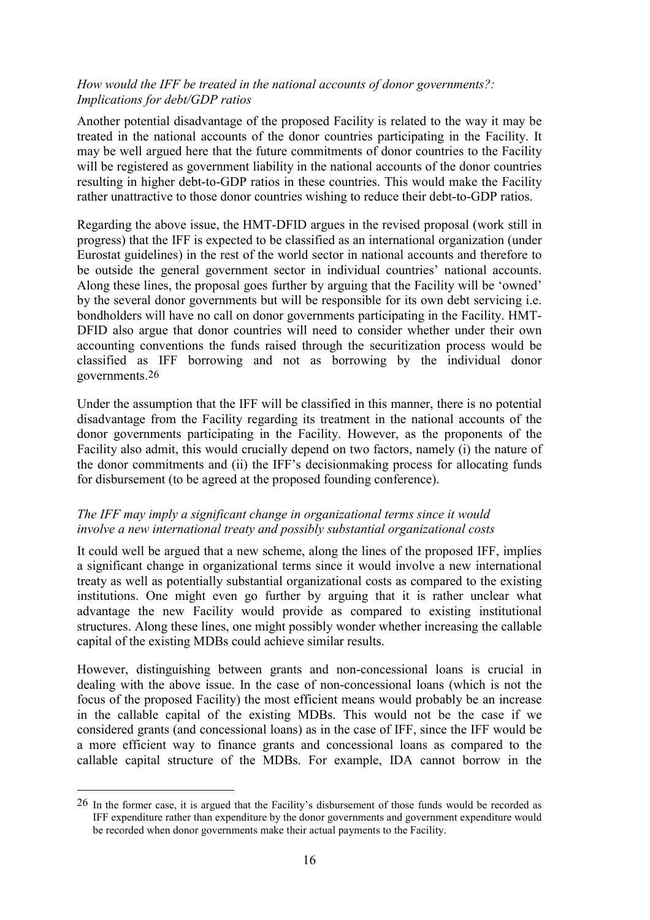## *How would the IFF be treated in the national accounts of donor governments?: Implications for debt/GDP ratios*

Another potential disadvantage of the proposed Facility is related to the way it may be treated in the national accounts of the donor countries participating in the Facility. It may be well argued here that the future commitments of donor countries to the Facility will be registered as government liability in the national accounts of the donor countries resulting in higher debt-to-GDP ratios in these countries. This would make the Facility rather unattractive to those donor countries wishing to reduce their debt-to-GDP ratios.

Regarding the above issue, the HMT-DFID argues in the revised proposal (work still in progress) that the IFF is expected to be classified as an international organization (under Eurostat guidelines) in the rest of the world sector in national accounts and therefore to be outside the general government sector in individual countries' national accounts. Along these lines, the proposal goes further by arguing that the Facility will be 'owned' by the several donor governments but will be responsible for its own debt servicing i.e. bondholders will have no call on donor governments participating in the Facility. HMT-DFID also argue that donor countries will need to consider whether under their own accounting conventions the funds raised through the securitization process would be classified as IFF borrowing and not as borrowing by the individual donor governments.26

Under the assumption that the IFF will be classified in this manner, there is no potential disadvantage from the Facility regarding its treatment in the national accounts of the donor governments participating in the Facility. However, as the proponents of the Facility also admit, this would crucially depend on two factors, namely (i) the nature of the donor commitments and (ii) the IFF's decisionmaking process for allocating funds for disbursement (to be agreed at the proposed founding conference).

## *The IFF may imply a significant change in organizational terms since it would involve a new international treaty and possibly substantial organizational costs*

It could well be argued that a new scheme, along the lines of the proposed IFF, implies a significant change in organizational terms since it would involve a new international treaty as well as potentially substantial organizational costs as compared to the existing institutions. One might even go further by arguing that it is rather unclear what advantage the new Facility would provide as compared to existing institutional structures. Along these lines, one might possibly wonder whether increasing the callable capital of the existing MDBs could achieve similar results.

However, distinguishing between grants and non-concessional loans is crucial in dealing with the above issue. In the case of non-concessional loans (which is not the focus of the proposed Facility) the most efficient means would probably be an increase in the callable capital of the existing MDBs. This would not be the case if we considered grants (and concessional loans) as in the case of IFF, since the IFF would be a more efficient way to finance grants and concessional loans as compared to the callable capital structure of the MDBs. For example, IDA cannot borrow in the

<sup>26</sup> In the former case, it is argued that the Facility's disbursement of those funds would be recorded as IFF expenditure rather than expenditure by the donor governments and government expenditure would be recorded when donor governments make their actual payments to the Facility.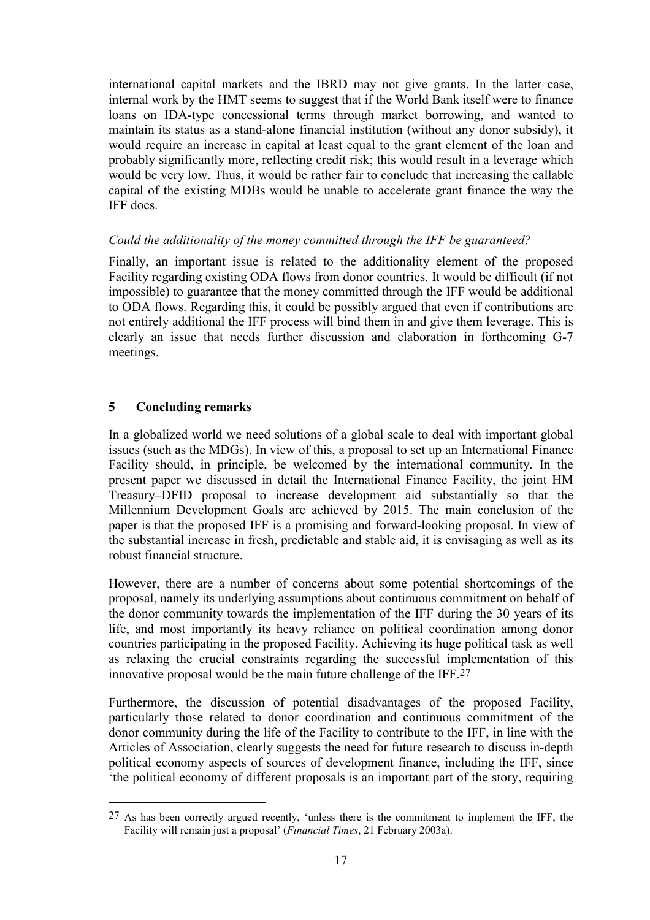international capital markets and the IBRD may not give grants. In the latter case, internal work by the HMT seems to suggest that if the World Bank itself were to finance loans on IDA-type concessional terms through market borrowing, and wanted to maintain its status as a stand-alone financial institution (without any donor subsidy), it would require an increase in capital at least equal to the grant element of the loan and probably significantly more, reflecting credit risk; this would result in a leverage which would be very low. Thus, it would be rather fair to conclude that increasing the callable capital of the existing MDBs would be unable to accelerate grant finance the way the IFF does.

## *Could the additionality of the money committed through the IFF be guaranteed?*

Finally, an important issue is related to the additionality element of the proposed Facility regarding existing ODA flows from donor countries. It would be difficult (if not impossible) to guarantee that the money committed through the IFF would be additional to ODA flows. Regarding this, it could be possibly argued that even if contributions are not entirely additional the IFF process will bind them in and give them leverage. This is clearly an issue that needs further discussion and elaboration in forthcoming G-7 meetings.

## **5 Concluding remarks**

 $\overline{a}$ 

In a globalized world we need solutions of a global scale to deal with important global issues (such as the MDGs). In view of this, a proposal to set up an International Finance Facility should, in principle, be welcomed by the international community. In the present paper we discussed in detail the International Finance Facility, the joint HM Treasury–DFID proposal to increase development aid substantially so that the Millennium Development Goals are achieved by 2015. The main conclusion of the paper is that the proposed IFF is a promising and forward-looking proposal. In view of the substantial increase in fresh, predictable and stable aid, it is envisaging as well as its robust financial structure.

However, there are a number of concerns about some potential shortcomings of the proposal, namely its underlying assumptions about continuous commitment on behalf of the donor community towards the implementation of the IFF during the 30 years of its life, and most importantly its heavy reliance on political coordination among donor countries participating in the proposed Facility. Achieving its huge political task as well as relaxing the crucial constraints regarding the successful implementation of this innovative proposal would be the main future challenge of the IFF.27

Furthermore, the discussion of potential disadvantages of the proposed Facility, particularly those related to donor coordination and continuous commitment of the donor community during the life of the Facility to contribute to the IFF, in line with the Articles of Association, clearly suggests the need for future research to discuss in-depth political economy aspects of sources of development finance, including the IFF, since 'the political economy of different proposals is an important part of the story, requiring

<sup>27</sup> As has been correctly argued recently, 'unless there is the commitment to implement the IFF, the Facility will remain just a proposal' (*Financial Times*, 21 February 2003a).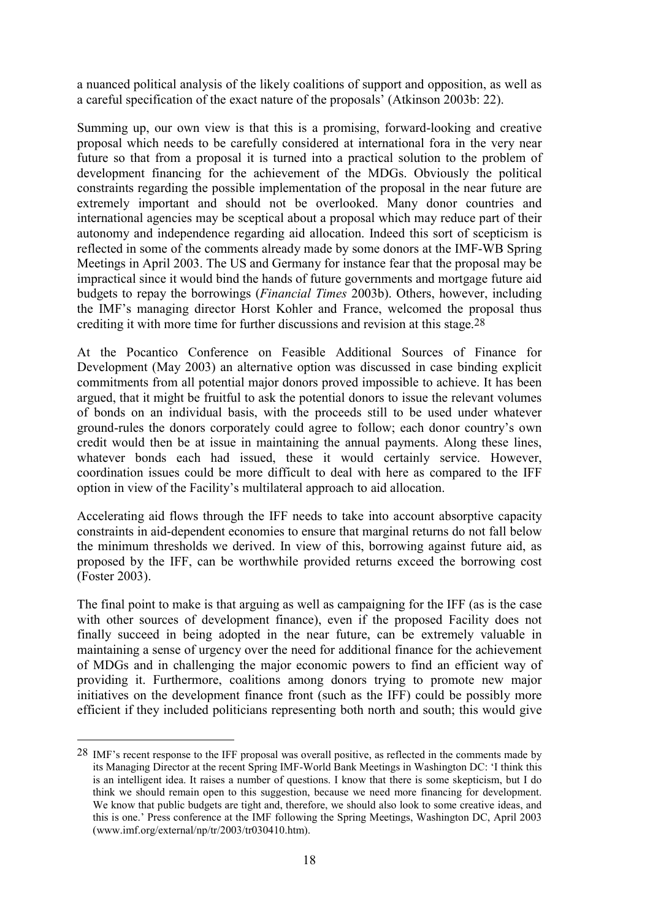a nuanced political analysis of the likely coalitions of support and opposition, as well as a careful specification of the exact nature of the proposals' (Atkinson 2003b: 22).

Summing up, our own view is that this is a promising, forward-looking and creative proposal which needs to be carefully considered at international fora in the very near future so that from a proposal it is turned into a practical solution to the problem of development financing for the achievement of the MDGs. Obviously the political constraints regarding the possible implementation of the proposal in the near future are extremely important and should not be overlooked. Many donor countries and international agencies may be sceptical about a proposal which may reduce part of their autonomy and independence regarding aid allocation. Indeed this sort of scepticism is reflected in some of the comments already made by some donors at the IMF-WB Spring Meetings in April 2003. The US and Germany for instance fear that the proposal may be impractical since it would bind the hands of future governments and mortgage future aid budgets to repay the borrowings (*Financial Times* 2003b). Others, however, including the IMF's managing director Horst Kohler and France, welcomed the proposal thus crediting it with more time for further discussions and revision at this stage.28

At the Pocantico Conference on Feasible Additional Sources of Finance for Development (May 2003) an alternative option was discussed in case binding explicit commitments from all potential major donors proved impossible to achieve. It has been argued, that it might be fruitful to ask the potential donors to issue the relevant volumes of bonds on an individual basis, with the proceeds still to be used under whatever ground-rules the donors corporately could agree to follow; each donor country's own credit would then be at issue in maintaining the annual payments. Along these lines, whatever bonds each had issued, these it would certainly service. However, coordination issues could be more difficult to deal with here as compared to the IFF option in view of the Facility's multilateral approach to aid allocation.

Accelerating aid flows through the IFF needs to take into account absorptive capacity constraints in aid-dependent economies to ensure that marginal returns do not fall below the minimum thresholds we derived. In view of this, borrowing against future aid, as proposed by the IFF, can be worthwhile provided returns exceed the borrowing cost (Foster 2003).

The final point to make is that arguing as well as campaigning for the IFF (as is the case with other sources of development finance), even if the proposed Facility does not finally succeed in being adopted in the near future, can be extremely valuable in maintaining a sense of urgency over the need for additional finance for the achievement of MDGs and in challenging the major economic powers to find an efficient way of providing it. Furthermore, coalitions among donors trying to promote new major initiatives on the development finance front (such as the IFF) could be possibly more efficient if they included politicians representing both north and south; this would give

<sup>28</sup> IMF's recent response to the IFF proposal was overall positive, as reflected in the comments made by its Managing Director at the recent Spring IMF-World Bank Meetings in Washington DC: 'I think this is an intelligent idea. It raises a number of questions. I know that there is some skepticism, but I do think we should remain open to this suggestion, because we need more financing for development. We know that public budgets are tight and, therefore, we should also look to some creative ideas, and this is one.' Press conference at the IMF following the Spring Meetings, Washington DC, April 2003 (www.imf.org/external/np/tr/2003/tr030410.htm).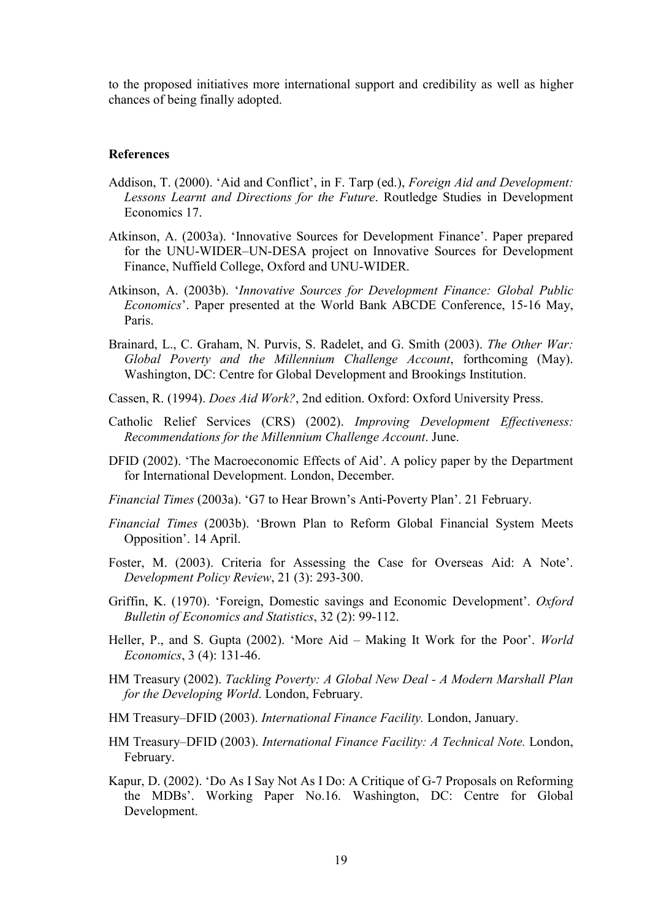to the proposed initiatives more international support and credibility as well as higher chances of being finally adopted.

#### **References**

- Addison, T. (2000). 'Aid and Conflict', in F. Tarp (ed.), *Foreign Aid and Development: Lessons Learnt and Directions for the Future*. Routledge Studies in Development Economics 17.
- Atkinson, A. (2003a). 'Innovative Sources for Development Finance'. Paper prepared for the UNU-WIDER–UN-DESA project on Innovative Sources for Development Finance, Nuffield College, Oxford and UNU-WIDER.
- Atkinson, A. (2003b). '*Innovative Sources for Development Finance: Global Public Economics*'. Paper presented at the World Bank ABCDE Conference, 15-16 May, Paris.
- Brainard, L., C. Graham, N. Purvis, S. Radelet, and G. Smith (2003). *The Other War: Global Poverty and the Millennium Challenge Account*, forthcoming (May). Washington, DC: Centre for Global Development and Brookings Institution.
- Cassen, R. (1994). *Does Aid Work?*, 2nd edition. Oxford: Oxford University Press.
- Catholic Relief Services (CRS) (2002). *Improving Development Effectiveness: Recommendations for the Millennium Challenge Account*. June.
- DFID (2002). 'The Macroeconomic Effects of Aid'. A policy paper by the Department for International Development. London, December.
- *Financial Times* (2003a). 'G7 to Hear Brown's Anti-Poverty Plan'. 21 February.
- *Financial Times* (2003b). 'Brown Plan to Reform Global Financial System Meets Opposition'. 14 April.
- Foster, M. (2003). Criteria for Assessing the Case for Overseas Aid: A Note'. *Development Policy Review*, 21 (3): 293-300.
- Griffin, K. (1970). 'Foreign, Domestic savings and Economic Development'. *Oxford Bulletin of Economics and Statistics*, 32 (2): 99-112.
- Heller, P., and S. Gupta (2002). 'More Aid Making It Work for the Poor'. *World Economics*, 3 (4): 131-46.
- HM Treasury (2002). *Tackling Poverty: A Global New Deal A Modern Marshall Plan for the Developing World*. London, February.
- HM Treasury–DFID (2003). *International Finance Facility.* London, January.
- HM Treasury–DFID (2003). *International Finance Facility: A Technical Note.* London, February.
- Kapur, D. (2002). 'Do As I Say Not As I Do: A Critique of G-7 Proposals on Reforming the MDBs'. Working Paper No.16. Washington, DC: Centre for Global Development.